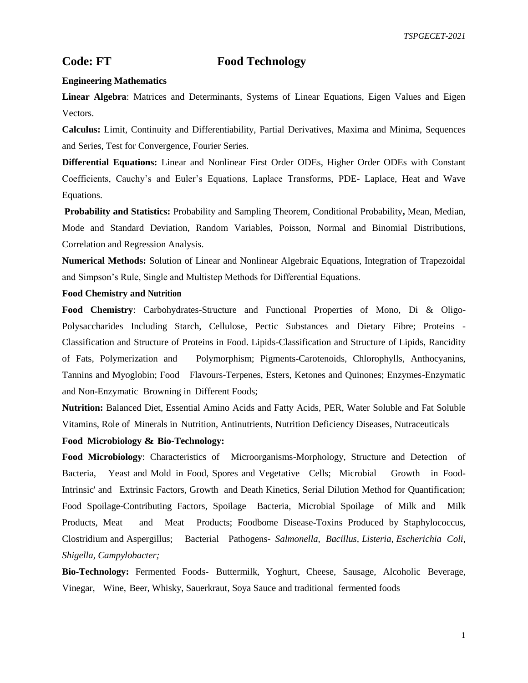# **Code: FT Food Technology**

### **Engineering Mathematics**

**Linear Algebra**: Matrices and Determinants, Systems of Linear Equations, Eigen Values and Eigen Vectors.

**Calculus:** Limit, Continuity and Differentiability, Partial Derivatives, Maxima and Minima, Sequences and Series, Test for Convergence, Fourier Series.

**Differential Equations:** Linear and Nonlinear First Order ODEs, Higher Order ODEs with Constant Coefficients, Cauchy's and Euler's Equations, Laplace Transforms, PDE- Laplace, Heat and Wave Equations.

**Probability and Statistics:** Probability and Sampling Theorem, Conditional Probability**,** Mean, Median, Mode and Standard Deviation, Random Variables, Poisson, Normal and Binomial Distributions, Correlation and Regression Analysis.

**Numerical Methods:** Solution of Linear and Nonlinear Algebraic Equations, Integration of Trapezoidal and Simpson's Rule, Single and Multistep Methods for Differential Equations.

## **Food Chemistry and Nutrition**

**Food Chemistry**: Carbohydrates-Structure and Functional Properties of Mono, Di & Oligo-Polysaccharides Including Starch, Cellulose, Pectic Substances and Dietary Fibre; Proteins - Classification and Structure of Proteins in Food. Lipids-Classification and Structure of Lipids, Rancidity of Fats, Polymerization and Polymorphism; Pigments-Carotenoids, Chlorophylls, Anthocyanins, Tannins and Myoglobin; Food Flavours-Terpenes, Esters, Ketones and Quinones; Enzymes-Enzymatic and Non-Enzymatic Browning in Different Foods;

**Nutrition:** Balanced Diet, Essential Amino Acids and Fatty Acids, PER, Water Soluble and Fat Soluble Vitamins, Role of Minerals in Nutrition, Antinutrients, Nutrition Deficiency Diseases, Nutraceuticals

## **Food Microbiology & Bio-Technology:**

**Food Microbiology**: Characteristics of Microorganisms-Morphology, Structure and Detection of Bacteria, Yeast and Mold in Food, Spores and Vegetative Cells; Microbial Growth in Food-Intrinsic' and Extrinsic Factors, Growth and Death Kinetics, Serial Dilution Method for Quantification; Food Spoilage-Contributing Factors, Spoilage Bacteria, Microbial Spoilage of Milk and Milk Products, Meat and Meat Products; Foodbome Disease-Toxins Produced by Staphylococcus, Clostridium and Aspergillus; Bacterial Pathogens- *Salmonella, Bacillus, Listeria, Escherichia Coli, Shigella, Campylobacter;*

**Bio-Technology:** Fermented Foods- Buttermilk, Yoghurt, Cheese, Sausage, Alcoholic Beverage, Vinegar, Wine, Beer, Whisky, Sauerkraut, Soya Sauce and traditional fermented foods